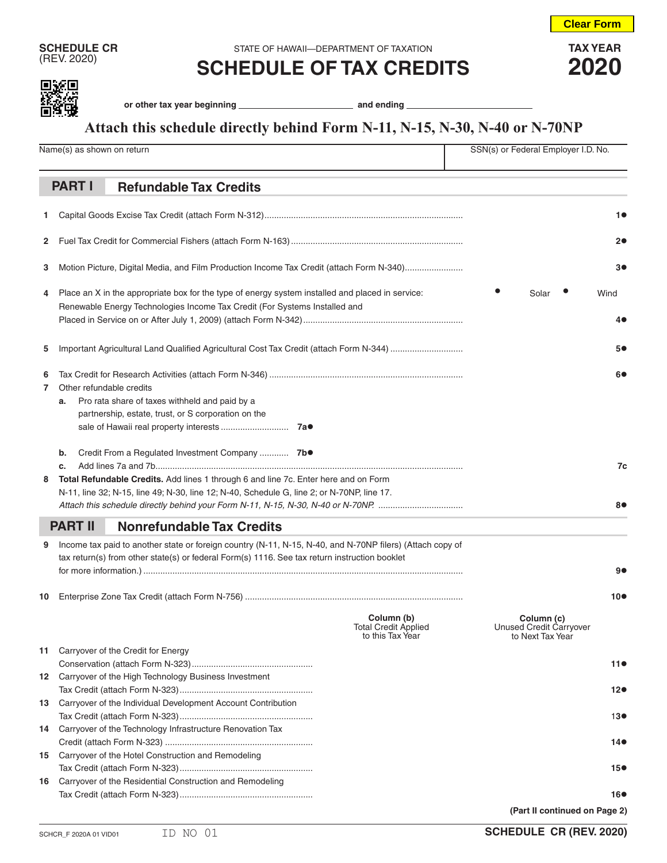**Clear Form**

**SCHEDULE CR** STATE OF HAWAII—DEPARTMENT OF TAXATION **TAX YEAR**<br>
(REV. 2020) **COLLEDILLE OF TAY ODEDITE** (REV. 2020) **SCHEDULE OF TAX CREDITS 2020**



or other tax year beginning **constant of the constant of the constant of the constant of the constant of the constant of the constant of the constant of the constant of the constant of the constant of the constant of the c** 

## **Attach this schedule directly behind Form N-11, N-15, N-30, N-40 or N-70NP**

|        | Name(s) as shown on return |                                                                                                                                                                                                                                      | SSN(s) or Federal Employer I.D. No.                           |                                                           |                 |
|--------|----------------------------|--------------------------------------------------------------------------------------------------------------------------------------------------------------------------------------------------------------------------------------|---------------------------------------------------------------|-----------------------------------------------------------|-----------------|
|        |                            |                                                                                                                                                                                                                                      |                                                               |                                                           |                 |
|        | <b>PART I</b>              | <b>Refundable Tax Credits</b>                                                                                                                                                                                                        |                                                               |                                                           |                 |
| 1.     |                            |                                                                                                                                                                                                                                      |                                                               |                                                           | 10              |
| 2      |                            |                                                                                                                                                                                                                                      |                                                               | 2●                                                        |                 |
| 3      |                            | Motion Picture, Digital Media, and Film Production Income Tax Credit (attach Form N-340)                                                                                                                                             |                                                               | 30                                                        |                 |
| 4      |                            | Place an X in the appropriate box for the type of energy system installed and placed in service:<br>Renewable Energy Technologies Income Tax Credit (For Systems Installed and                                                       | Solar                                                         | Wind<br>40                                                |                 |
| 5      |                            | Important Agricultural Land Qualified Agricultural Cost Tax Credit (attach Form N-344)                                                                                                                                               |                                                               |                                                           | 5●              |
| 6<br>7 | a.                         | Other refundable credits<br>Pro rata share of taxes withheld and paid by a<br>partnership, estate, trust, or S corporation on the<br>7a●                                                                                             |                                                               | 6●                                                        |                 |
| 8      | b.<br>c.                   | Credit From a Regulated Investment Company  7b.<br>Total Refundable Credits. Add lines 1 through 6 and line 7c. Enter here and on Form<br>N-11, line 32; N-15, line 49; N-30, line 12; N-40, Schedule G, line 2; or N-70NP, line 17. |                                                               | 7c<br>8●                                                  |                 |
|        | <b>PART II</b>             | <b>Nonrefundable Tax Credits</b>                                                                                                                                                                                                     |                                                               |                                                           |                 |
| 9      |                            | Income tax paid to another state or foreign country (N-11, N-15, N-40, and N-70NP filers) (Attach copy of<br>tax return(s) from other state(s) or federal Form(s) 1116. See tax return instruction booklet                           |                                                               |                                                           | 9●              |
| 10     |                            |                                                                                                                                                                                                                                      |                                                               |                                                           | $10\bullet$     |
|        |                            |                                                                                                                                                                                                                                      | Column (b)<br><b>Total Credit Applied</b><br>to this Tax Year | Column (c)<br>Unused Credit Carryover<br>to Next Tax Year |                 |
|        |                            | 11 Carryover of the Credit for Energy                                                                                                                                                                                                |                                                               |                                                           | 110             |
|        |                            | 12 Carryover of the High Technology Business Investment                                                                                                                                                                              |                                                               |                                                           |                 |
|        |                            |                                                                                                                                                                                                                                      |                                                               |                                                           | $12\bullet$     |
| 13     |                            | Carryover of the Individual Development Account Contribution                                                                                                                                                                         |                                                               |                                                           | 130             |
| 14     |                            | Carryover of the Technology Infrastructure Renovation Tax                                                                                                                                                                            |                                                               |                                                           |                 |
|        |                            |                                                                                                                                                                                                                                      |                                                               |                                                           | 14●             |
| 15     |                            | Carryover of the Hotel Construction and Remodeling                                                                                                                                                                                   |                                                               |                                                           | 15 <sup>o</sup> |
| 16     |                            | Carryover of the Residential Construction and Remodeling                                                                                                                                                                             |                                                               |                                                           |                 |
|        |                            |                                                                                                                                                                                                                                      |                                                               |                                                           | 16●             |
|        |                            |                                                                                                                                                                                                                                      |                                                               | (Part II continued on Page 2)                             |                 |